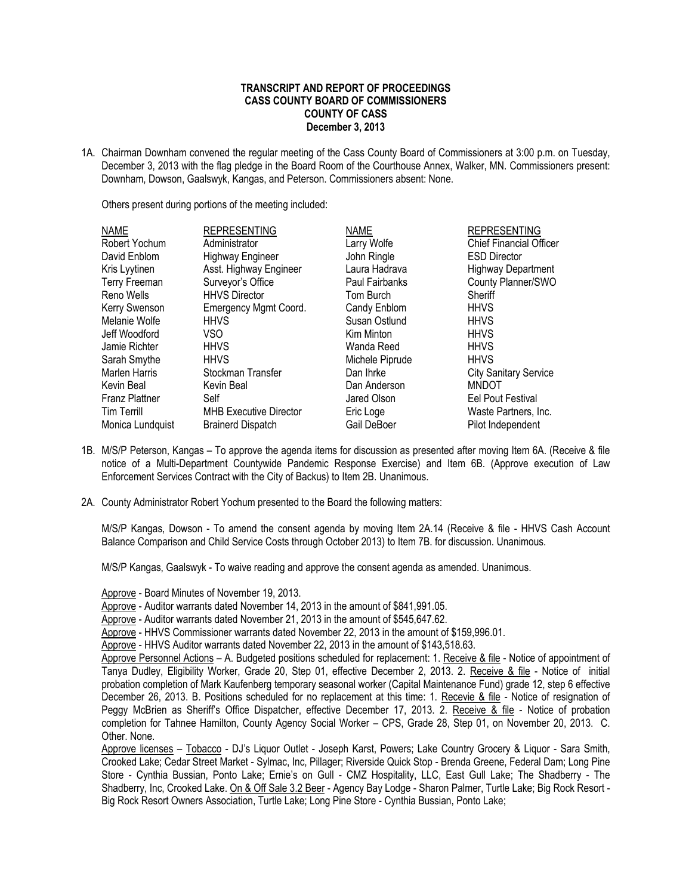## **TRANSCRIPT AND REPORT OF PROCEEDINGS CASS COUNTY BOARD OF COMMISSIONERS COUNTY OF CASS December 3, 2013**

1A. Chairman Downham convened the regular meeting of the Cass County Board of Commissioners at 3:00 p.m. on Tuesday, December 3, 2013 with the flag pledge in the Board Room of the Courthouse Annex, Walker, MN. Commissioners present: Downham, Dowson, Gaalswyk, Kangas, and Peterson. Commissioners absent: None.

Others present during portions of the meeting included:

| <b>NAME</b>           | <b>REPRESENTING</b>           | <b>NAME</b>     | <b>REPRESENTING</b>            |
|-----------------------|-------------------------------|-----------------|--------------------------------|
| Robert Yochum         | Administrator                 | Larry Wolfe     | <b>Chief Financial Officer</b> |
| David Enblom          | <b>Highway Engineer</b>       | John Ringle     | <b>ESD Director</b>            |
| Kris Lyytinen         | Asst. Highway Engineer        | Laura Hadrava   | <b>Highway Department</b>      |
| <b>Terry Freeman</b>  | Surveyor's Office             | Paul Fairbanks  | County Planner/SWO             |
| Reno Wells            | <b>HHVS Director</b>          | Tom Burch       | Sheriff                        |
| Kerry Swenson         | Emergency Mgmt Coord.         | Candy Enblom    | <b>HHVS</b>                    |
| Melanie Wolfe         | <b>HHVS</b>                   | Susan Ostlund   | <b>HHVS</b>                    |
| Jeff Woodford         | VSO.                          | Kim Minton      | <b>HHVS</b>                    |
| Jamie Richter         | <b>HHVS</b>                   | Wanda Reed      | <b>HHVS</b>                    |
| Sarah Smythe          | <b>HHVS</b>                   | Michele Piprude | <b>HHVS</b>                    |
| Marlen Harris         | Stockman Transfer             | Dan Ihrke       | <b>City Sanitary Service</b>   |
| Kevin Beal            | Kevin Beal                    | Dan Anderson    | <b>MNDOT</b>                   |
| <b>Franz Plattner</b> | Self                          | Jared Olson     | Eel Pout Festival              |
| <b>Tim Terrill</b>    | <b>MHB Executive Director</b> | Eric Loge       | Waste Partners, Inc.           |
| Monica Lundquist      | <b>Brainerd Dispatch</b>      | Gail DeBoer     | Pilot Independent              |

- 1B. M/S/P Peterson, Kangas To approve the agenda items for discussion as presented after moving Item 6A. (Receive & file notice of a Multi-Department Countywide Pandemic Response Exercise) and Item 6B. (Approve execution of Law Enforcement Services Contract with the City of Backus) to Item 2B. Unanimous.
- 2A. County Administrator Robert Yochum presented to the Board the following matters:

M/S/P Kangas, Dowson - To amend the consent agenda by moving Item 2A.14 (Receive & file - HHVS Cash Account Balance Comparison and Child Service Costs through October 2013) to Item 7B. for discussion. Unanimous.

M/S/P Kangas, Gaalswyk - To waive reading and approve the consent agenda as amended. Unanimous.

Approve - Board Minutes of November 19, 2013.

Approve - Auditor warrants dated November 14, 2013 in the amount of \$841,991.05.

Approve - Auditor warrants dated November 21, 2013 in the amount of \$545,647.62.

Approve - HHVS Commissioner warrants dated November 22, 2013 in the amount of \$159,996.01.

Approve - HHVS Auditor warrants dated November 22, 2013 in the amount of \$143,518.63.

Approve Personnel Actions – A. Budgeted positions scheduled for replacement: 1. Receive & file - Notice of appointment of Tanya Dudley, Eligibility Worker, Grade 20, Step 01, effective December 2, 2013. 2. Receive & file - Notice of initial probation completion of Mark Kaufenberg temporary seasonal worker (Capital Maintenance Fund) grade 12, step 6 effective December 26, 2013. B. Positions scheduled for no replacement at this time: 1. Recevie & file - Notice of resignation of Peggy McBrien as Sheriff's Office Dispatcher, effective December 17, 2013. 2. Receive & file - Notice of probation completion for Tahnee Hamilton, County Agency Social Worker – CPS, Grade 28, Step 01, on November 20, 2013. C. Other. None.

Approve licenses – Tobacco - DJ's Liquor Outlet - Joseph Karst, Powers; Lake Country Grocery & Liquor - Sara Smith, Crooked Lake; Cedar Street Market - Sylmac, Inc, Pillager; Riverside Quick Stop - Brenda Greene, Federal Dam; Long Pine Store - Cynthia Bussian, Ponto Lake; Ernie's on Gull - CMZ Hospitality, LLC, East Gull Lake; The Shadberry - The Shadberry, Inc, Crooked Lake. On & Off Sale 3.2 Beer - Agency Bay Lodge - Sharon Palmer, Turtle Lake; Big Rock Resort -Big Rock Resort Owners Association, Turtle Lake; Long Pine Store - Cynthia Bussian, Ponto Lake;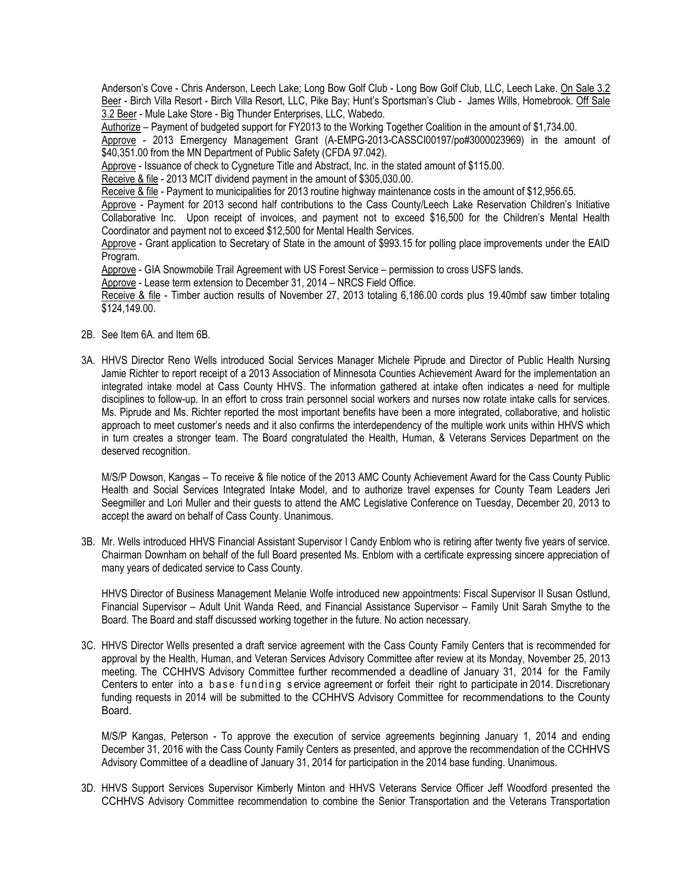Anderson's Cove - Chris Anderson, Leech Lake; Long Bow Golf Club - Long Bow Golf Club, LLC, Leech Lake. On Sale 3.2 Beer - Birch Villa Resort - Birch Villa Resort, LLC, Pike Bay; Hunt's Sportsman's Club - James Wills, Homebrook. Off Sale 3.2 Beer - Mule Lake Store - Big Thunder Enterprises, LLC, Wabedo.

Authorize – Payment of budgeted support for FY2013 to the Working Together Coalition in the amount of \$1,734.00.

Approve - 2013 Emergency Management Grant (A-EMPG-2013-CASSCI00197/po#3000023969) in the amount of \$40,351.00 from the MN Department of Public Safety (CFDA 97.042).

Approve - Issuance of check to Cygneture Title and Abstract, Inc. in the stated amount of \$115.00.

Receive & file - 2013 MCIT dividend payment in the amount of \$305,030.00.

Receive & file - Payment to municipalities for 2013 routine highway maintenance costs in the amount of \$12,956.65.

Approve - Payment for 2013 second half contributions to the Cass County/Leech Lake Reservation Children's Initiative Collaborative Inc. Upon receipt of invoices, and payment not to exceed \$16,500 for the Children's Mental Health Coordinator and payment not to exceed \$12,500 for Mental Health Services.

Approve - Grant application to Secretary of State in the amount of \$993.15 for polling place improvements under the EAID Program.

Approve - GIA Snowmobile Trail Agreement with US Forest Service – permission to cross USFS lands.

Approve - Lease term extension to December 31, 2014 – NRCS Field Office.

Receive & file - Timber auction results of November 27, 2013 totaling 6,186.00 cords plus 19.40mbf saw timber totaling \$124,149.00.

- 2B. See Item 6A. and Item 6B.
- 3A. HHVS Director Reno Wells introduced Social Services Manager Michele Piprude and Director of Public Health Nursing Jamie Richter to report receipt of a 2013 Association of Minnesota Counties Achievement Award for the implementation an integrated intake model at Cass County HHVS. The information gathered at intake often indicates a need for multiple disciplines to follow-up. In an effort to cross train personnel social workers and nurses now rotate intake calls for services. Ms. Piprude and Ms. Richter reported the most important benefits have been a more integrated, collaborative, and holistic approach to meet customer's needs and it also confirms the interdependency of the multiple work units within HHVS which in turn creates a stronger team. The Board congratulated the Health, Human, & Veterans Services Department on the deserved recognition.

M/S/P Dowson, Kangas – To receive & file notice of the 2013 AMC County Achievement Award for the Cass County Public Health and Social Services Integrated Intake Model, and to authorize travel expenses for County Team Leaders Jeri Seegmiller and Lori Muller and their guests to attend the AMC Legislative Conference on Tuesday, December 20, 2013 to accept the award on behalf of Cass County. Unanimous.

3B. Mr. Wells introduced HHVS Financial Assistant Supervisor I Candy Enblom who is retiring after twenty five years of service. Chairman Downham on behalf of the full Board presented Ms. Enblom with a certificate expressing sincere appreciation of many years of dedicated service to Cass County.

HHVS Director of Business Management Melanie Wolfe introduced new appointments: Fiscal Supervisor II Susan Ostlund, Financial Supervisor – Adult Unit Wanda Reed, and Financial Assistance Supervisor – Family Unit Sarah Smythe to the Board. The Board and staff discussed working together in the future. No action necessary.

3C. HHVS Director Wells presented a draft service agreement with the Cass County Family Centers that is recommended for approval by the Health, Human, and Veteran Services Advisory Committee after review at its Monday, November 25, 2013 meeting. The CCHHVS Advisory Committee further recommended a deadline of January 31, 2014 for the Family Centers to enter into a base funding service agreement or forfeit their right to participate in 2014. Discretionary funding requests in 2014 will be submitted to the CCHHVS Advisory Committee for recommendations to the County Board.

M/S/P Kangas, Peterson - To approve the execution of service agreements beginning January 1, 2014 and ending December 31, 2016 with the Cass County Family Centers as presented, and approve the recommendation of the CCHHVS Advisory Committee of a deadline of January 31, 2014 for participation in the 2014 base funding. Unanimous.

3D. HHVS Support Services Supervisor Kimberly Minton and HHVS Veterans Service Officer Jeff Woodford presented the CCHHVS Advisory Committee recommendation to combine the Senior Transportation and the Veterans Transportation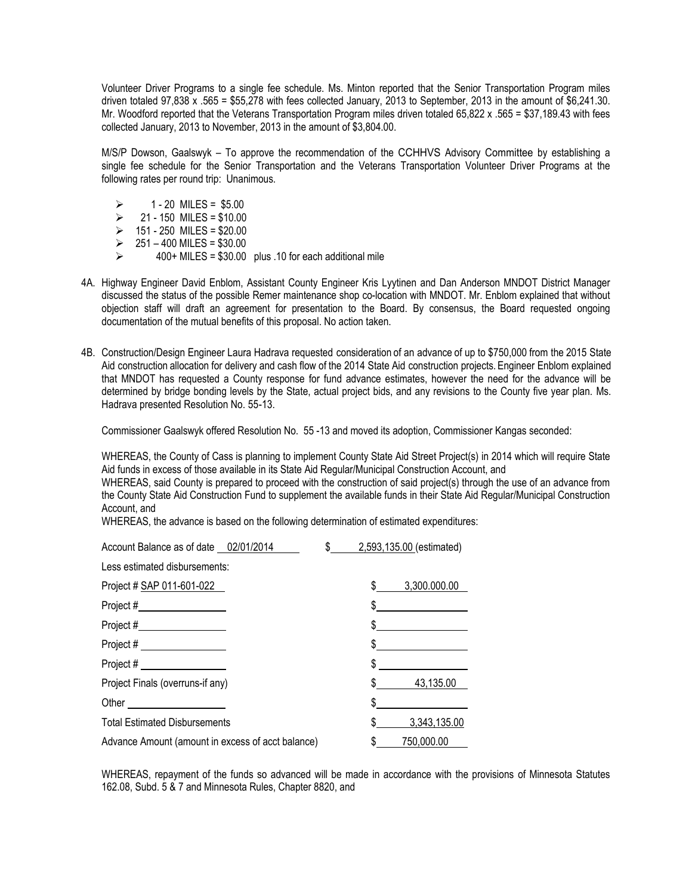Volunteer Driver Programs to a single fee schedule. Ms. Minton reported that the Senior Transportation Program miles driven totaled 97,838 x .565 = \$55,278 with fees collected January, 2013 to September, 2013 in the amount of \$6,241.30. Mr. Woodford reported that the Veterans Transportation Program miles driven totaled 65,822 x .565 = \$37,189.43 with fees collected January, 2013 to November, 2013 in the amount of \$3,804.00.

M/S/P Dowson, Gaalswyk – To approve the recommendation of the CCHHVS Advisory Committee by establishing a single fee schedule for the Senior Transportation and the Veterans Transportation Volunteer Driver Programs at the following rates per round trip: Unanimous.

- $\ge$  1 20 MILES = \$5.00<br> $\ge$  21 150 MII FS = \$10.00
- 21 150 MILES = \$10.00
- $\geq$  151 250 MILES = \$20.00
- $\geq 251 400$  MILES = \$30.00
- 400+ MILES = \$30.00 plus .10 for each additional mile
- 4A. Highway Engineer David Enblom, Assistant County Engineer Kris Lyytinen and Dan Anderson MNDOT District Manager discussed the status of the possible Remer maintenance shop co-location with MNDOT. Mr. Enblom explained that without objection staff will draft an agreement for presentation to the Board. By consensus, the Board requested ongoing documentation of the mutual benefits of this proposal. No action taken.
- 4B. Construction/Design Engineer Laura Hadrava requested consideration of an advance of up to \$750,000 from the 2015 State Aid construction allocation for delivery and cash flow of the 2014 State Aid construction projects. Engineer Enblom explained that MNDOT has requested a County response for fund advance estimates, however the need for the advance will be determined by bridge bonding levels by the State, actual project bids, and any revisions to the County five year plan. Ms. Hadrava presented Resolution No. 55-13.

Commissioner Gaalswyk offered Resolution No. 55 -13 and moved its adoption, Commissioner Kangas seconded:

WHEREAS, the County of Cass is planning to implement County State Aid Street Project(s) in 2014 which will require State Aid funds in excess of those available in its State Aid Regular/Municipal Construction Account, and

WHEREAS, said County is prepared to proceed with the construction of said project(s) through the use of an advance from the County State Aid Construction Fund to supplement the available funds in their State Aid Regular/Municipal Construction Account, and

WHEREAS, the advance is based on the following determination of estimated expenditures:

| Account Balance as of date 02/01/2014                                                                                                                                                                                          | \$ | 2,593,135.00 (estimated) |
|--------------------------------------------------------------------------------------------------------------------------------------------------------------------------------------------------------------------------------|----|--------------------------|
| Less estimated disbursements:                                                                                                                                                                                                  |    |                          |
| Project # SAP 011-601-022                                                                                                                                                                                                      |    | 3,300.000.00             |
| Project # $\frac{1}{2}$                                                                                                                                                                                                        |    | \$                       |
|                                                                                                                                                                                                                                |    | \$                       |
| Project # $\_$                                                                                                                                                                                                                 |    |                          |
| Project #                                                                                                                                                                                                                      |    | \$                       |
| Project Finals (overruns-if any)                                                                                                                                                                                               |    | 43,135.00                |
| Other the contract of the contract of the contract of the contract of the contract of the contract of the contract of the contract of the contract of the contract of the contract of the contract of the contract of the cont |    |                          |
| <b>Total Estimated Disbursements</b>                                                                                                                                                                                           |    | 3,343,135.00             |
| Advance Amount (amount in excess of acct balance)                                                                                                                                                                              |    | 750,000.00               |

WHEREAS, repayment of the funds so advanced will be made in accordance with the provisions of Minnesota Statutes 162.08, Subd. 5 & 7 and Minnesota Rules, Chapter 8820, and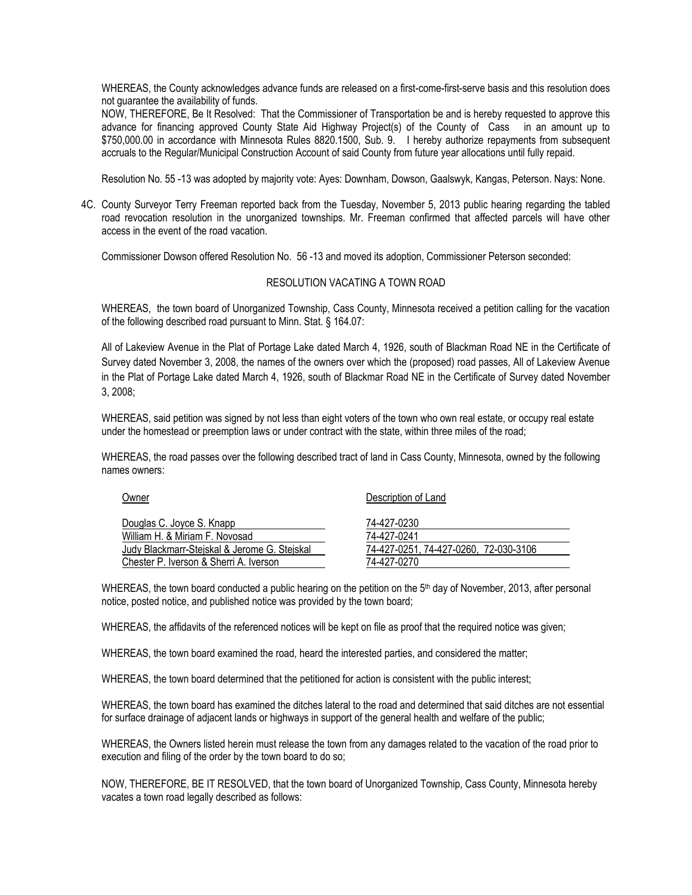WHEREAS, the County acknowledges advance funds are released on a first-come-first-serve basis and this resolution does not guarantee the availability of funds.

NOW, THEREFORE, Be It Resolved: That the Commissioner of Transportation be and is hereby requested to approve this advance for financing approved County State Aid Highway Project(s) of the County of Cass in an amount up to \$750,000.00 in accordance with Minnesota Rules 8820.1500, Sub. 9. I hereby authorize repayments from subsequent accruals to the Regular/Municipal Construction Account of said County from future year allocations until fully repaid.

Resolution No. 55 -13 was adopted by majority vote: Ayes: Downham, Dowson, Gaalswyk, Kangas, Peterson. Nays: None.

4C. County Surveyor Terry Freeman reported back from the Tuesday, November 5, 2013 public hearing regarding the tabled road revocation resolution in the unorganized townships. Mr. Freeman confirmed that affected parcels will have other access in the event of the road vacation.

Commissioner Dowson offered Resolution No. 56 -13 and moved its adoption, Commissioner Peterson seconded:

## RESOLUTION VACATING A TOWN ROAD

WHEREAS, the town board of Unorganized Township, Cass County, Minnesota received a petition calling for the vacation of the following described road pursuant to Minn. Stat. § 164.07:

All of Lakeview Avenue in the Plat of Portage Lake dated March 4, 1926, south of Blackman Road NE in the Certificate of Survey dated November 3, 2008, the names of the owners over which the (proposed) road passes, All of Lakeview Avenue in the Plat of Portage Lake dated March 4, 1926, south of Blackmar Road NE in the Certificate of Survey dated November 3, 2008;

WHEREAS, said petition was signed by not less than eight voters of the town who own real estate, or occupy real estate under the homestead or preemption laws or under contract with the state, within three miles of the road;

WHEREAS, the road passes over the following described tract of land in Cass County, Minnesota, owned by the following names owners:

Owner Description of Land

| Douglas C. Joyce S. Knapp                    | 74-427-0230                           |
|----------------------------------------------|---------------------------------------|
| William H. & Miriam F. Novosad               | 74-427-0241                           |
| Judy Blackmarr-Stejskal & Jerome G. Stejskal | 74-427-0251, 74-427-0260, 72-030-3106 |
| Chester P. Iverson & Sherri A. Iverson       | 74-427-0270                           |

WHEREAS, the town board conducted a public hearing on the petition on the 5<sup>th</sup> day of November, 2013, after personal notice, posted notice, and published notice was provided by the town board;

WHEREAS, the affidavits of the referenced notices will be kept on file as proof that the required notice was given;

WHEREAS, the town board examined the road, heard the interested parties, and considered the matter;

WHEREAS, the town board determined that the petitioned for action is consistent with the public interest;

WHEREAS, the town board has examined the ditches lateral to the road and determined that said ditches are not essential for surface drainage of adjacent lands or highways in support of the general health and welfare of the public;

WHEREAS, the Owners listed herein must release the town from any damages related to the vacation of the road prior to execution and filing of the order by the town board to do so;

NOW, THEREFORE, BE IT RESOLVED, that the town board of Unorganized Township, Cass County, Minnesota hereby vacates a town road legally described as follows: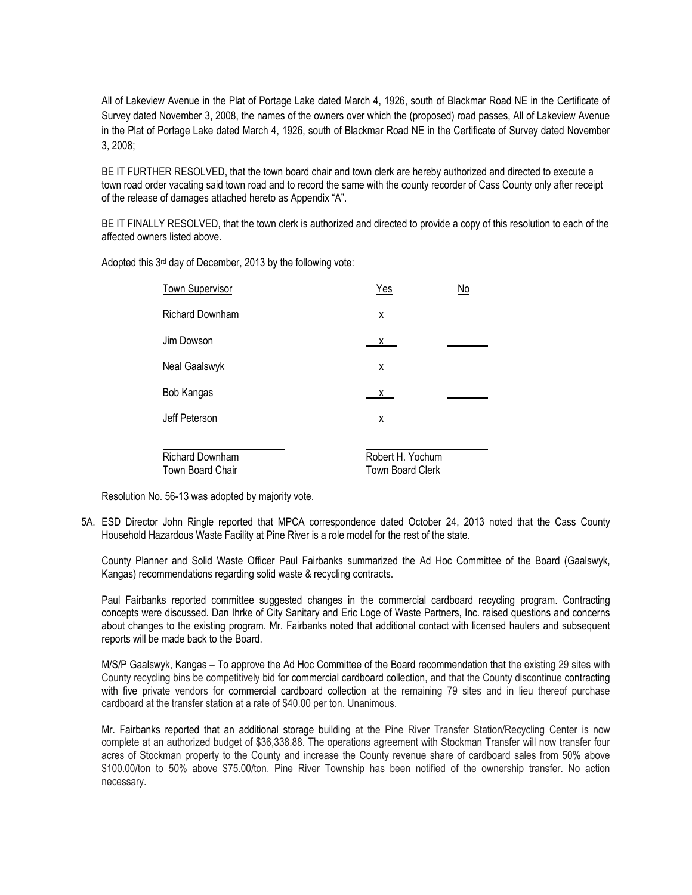All of Lakeview Avenue in the Plat of Portage Lake dated March 4, 1926, south of Blackmar Road NE in the Certificate of Survey dated November 3, 2008, the names of the owners over which the (proposed) road passes, All of Lakeview Avenue in the Plat of Portage Lake dated March 4, 1926, south of Blackmar Road NE in the Certificate of Survey dated November 3, 2008;

BE IT FURTHER RESOLVED, that the town board chair and town clerk are hereby authorized and directed to execute a town road order vacating said town road and to record the same with the county recorder of Cass County only after receipt of the release of damages attached hereto as Appendix "A".

BE IT FINALLY RESOLVED, that the town clerk is authorized and directed to provide a copy of this resolution to each of the affected owners listed above.

Adopted this  $3<sup>rd</sup>$  day of December, 2013 by the following vote:

| <b>Town Supervisor</b> | Yes              | No |  |
|------------------------|------------------|----|--|
| Richard Downham        | x                |    |  |
| Jim Dowson             | $\mathsf{X}$     |    |  |
| Neal Gaalswyk          | $\underline{x}$  |    |  |
| Bob Kangas             | X                |    |  |
| Jeff Peterson          | X.               |    |  |
|                        |                  |    |  |
| Richard Downham        | Robert H. Yochum |    |  |
| Town Board Chair       | Town Board Clerk |    |  |

Resolution No. 56-13 was adopted by majority vote.

5A. ESD Director John Ringle reported that MPCA correspondence dated October 24, 2013 noted that the Cass County Household Hazardous Waste Facility at Pine River is a role model for the rest of the state.

County Planner and Solid Waste Officer Paul Fairbanks summarized the Ad Hoc Committee of the Board (Gaalswyk, Kangas) recommendations regarding solid waste & recycling contracts.

Paul Fairbanks reported committee suggested changes in the commercial cardboard recycling program. Contracting concepts were discussed. Dan Ihrke of City Sanitary and Eric Loge of Waste Partners, Inc. raised questions and concerns about changes to the existing program. Mr. Fairbanks noted that additional contact with licensed haulers and subsequent reports will be made back to the Board.

M/S/P Gaalswyk, Kangas – To approve the Ad Hoc Committee of the Board recommendation that the existing 29 sites with County recycling bins be competitively bid for commercial cardboard collection, and that the County discontinue contracting with five private vendors for commercial cardboard collection at the remaining 79 sites and in lieu thereof purchase cardboard at the transfer station at a rate of \$40.00 per ton. Unanimous.

Mr. Fairbanks reported that an additional storage building at the Pine River Transfer Station/Recycling Center is now complete at an authorized budget of \$36,338.88. The operations agreement with Stockman Transfer will now transfer four acres of Stockman property to the County and increase the County revenue share of cardboard sales from 50% above \$100.00/ton to 50% above \$75.00/ton. Pine River Township has been notified of the ownership transfer. No action necessary.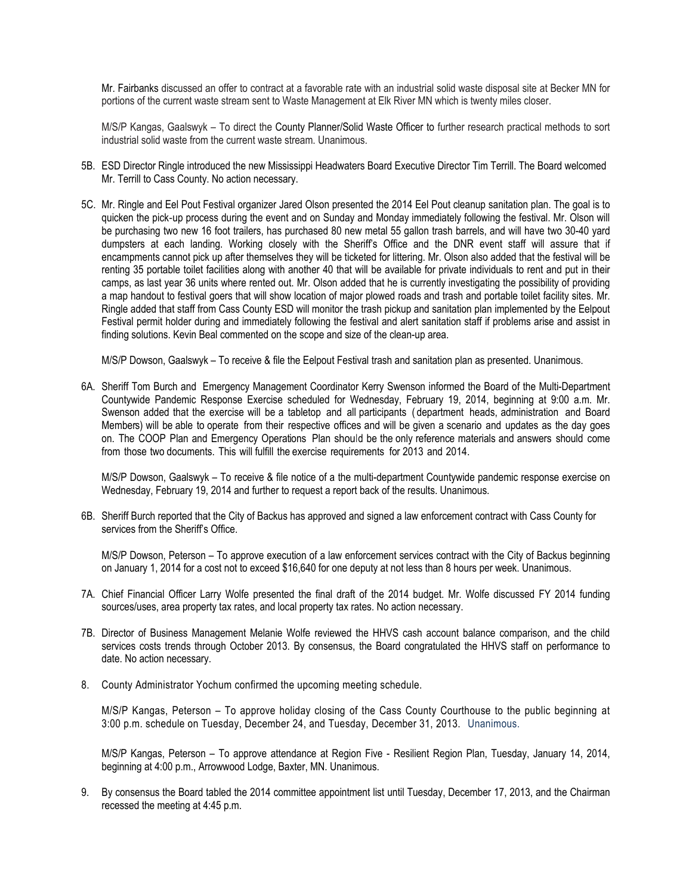Mr. Fairbanks discussed an offer to contract at a favorable rate with an industrial solid waste disposal site at Becker MN for portions of the current waste stream sent to Waste Management at Elk River MN which is twenty miles closer.

M/S/P Kangas, Gaalswyk – To direct the County Planner/Solid Waste Officer to further research practical methods to sort industrial solid waste from the current waste stream. Unanimous.

- 5B. ESD Director Ringle introduced the new Mississippi Headwaters Board Executive Director Tim Terrill. The Board welcomed Mr. Terrill to Cass County. No action necessary.
- 5C. Mr. Ringle and Eel Pout Festival organizer Jared Olson presented the 2014 Eel Pout cleanup sanitation plan. The goal is to quicken the pick‐up process during the event and on Sunday and Monday immediately following the festival. Mr. Olson will be purchasing two new 16 foot trailers, has purchased 80 new metal 55 gallon trash barrels, and will have two 30-40 yard dumpsters at each landing. Working closely with the Sheriff's Office and the DNR event staff will assure that if encampments cannot pick up after themselves they will be ticketed for littering. Mr. Olson also added that the festival will be renting 35 portable toilet facilities along with another 40 that will be available for private individuals to rent and put in their camps, as last year 36 units where rented out. Mr. Olson added that he is currently investigating the possibility of providing a map handout to festival goers that will show location of major plowed roads and trash and portable toilet facility sites. Mr. Ringle added that staff from Cass County ESD will monitor the trash pickup and sanitation plan implemented by the Eelpout Festival permit holder during and immediately following the festival and alert sanitation staff if problems arise and assist in finding solutions. Kevin Beal commented on the scope and size of the clean-up area.

M/S/P Dowson, Gaalswyk – To receive & file the Eelpout Festival trash and sanitation plan as presented. Unanimous.

6A. Sheriff Tom Burch and Emergency Management Coordinator Kerry Swenson informed the Board of the Multi-Department Countywide Pandemic Response Exercise scheduled for Wednesday, February 19, 2014, beginning at 9:00 a.m. Mr. Swenson added that the exercise will be a tabletop and all participants ( department heads, administration and Board Members) will be able to operate from their respective offices and will be given a scenario and updates as the day goes on. The COOP Plan and Emergency Operations Plan should be the only reference materials and answers should come from those two documents. This will fulfill the exercise requirements for 2013 and 2014.

M/S/P Dowson, Gaalswyk – To receive & file notice of a the multi-department Countywide pandemic response exercise on Wednesday, February 19, 2014 and further to request a report back of the results. Unanimous.

6B. Sheriff Burch reported that the City of Backus has approved and signed a law enforcement contract with Cass County for services from the Sheriff's Office.

M/S/P Dowson, Peterson – To approve execution of a law enforcement services contract with the City of Backus beginning on January 1, 2014 for a cost not to exceed \$16,640 for one deputy at not less than 8 hours per week. Unanimous.

- 7A. Chief Financial Officer Larry Wolfe presented the final draft of the 2014 budget. Mr. Wolfe discussed FY 2014 funding sources/uses, area property tax rates, and local property tax rates. No action necessary.
- 7B. Director of Business Management Melanie Wolfe reviewed the HHVS cash account balance comparison, and the child services costs trends through October 2013. By consensus, the Board congratulated the HHVS staff on performance to date. No action necessary.
- 8. County Administrator Yochum confirmed the upcoming meeting schedule.

M/S/P Kangas, Peterson – To approve holiday closing of the Cass County Courthouse to the public beginning at 3:00 p.m. schedule on Tuesday, December 24, and Tuesday, December 31, 2013. Unanimous.

M/S/P Kangas, Peterson – To approve attendance at Region Five - Resilient Region Plan, Tuesday, January 14, 2014, beginning at 4:00 p.m., Arrowwood Lodge, Baxter, MN. Unanimous.

9. By consensus the Board tabled the 2014 committee appointment list until Tuesday, December 17, 2013, and the Chairman recessed the meeting at 4:45 p.m.